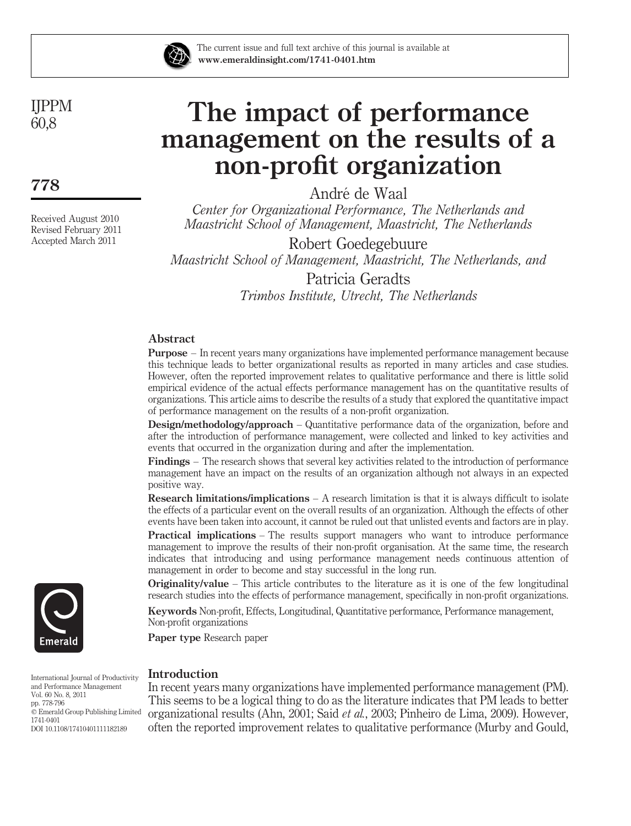

The current issue and full text archive of this journal is available at www.emeraldinsight.com/1741-0401.htm

IJPPM 60,8

778

Received August 2010 Revised February 2011 Accepted March 2011

# The impact of performance management on the results of a non-profit organization

André de Waal

Center for Organizational Performance, The Netherlands and Maastricht School of Management, Maastricht, The Netherlands

Robert Goedegebuure Maastricht School of Management, Maastricht, The Netherlands, and Patricia Geradts Trimbos Institute, Utrecht, The Netherlands

## Abstract

Purpose – In recent years many organizations have implemented performance management because this technique leads to better organizational results as reported in many articles and case studies. However, often the reported improvement relates to qualitative performance and there is little solid empirical evidence of the actual effects performance management has on the quantitative results of organizations. This article aims to describe the results of a study that explored the quantitative impact of performance management on the results of a non-profit organization.

Design/methodology/approach – Quantitative performance data of the organization, before and after the introduction of performance management, were collected and linked to key activities and events that occurred in the organization during and after the implementation.

Findings – The research shows that several key activities related to the introduction of performance management have an impact on the results of an organization although not always in an expected positive way.

**Research limitations/implications**  $- A$  research limitation is that it is always difficult to isolate the effects of a particular event on the overall results of an organization. Although the effects of other events have been taken into account, it cannot be ruled out that unlisted events and factors are in play.

Practical implications – The results support managers who want to introduce performance management to improve the results of their non-profit organisation. At the same time, the research indicates that introducing and using performance management needs continuous attention of management in order to become and stay successful in the long run.

**Originality/value** – This article contributes to the literature as it is one of the few longitudinal research studies into the effects of performance management, specifically in non-profit organizations.

Keywords Non-profit, Effects, Longitudinal, Quantitative performance, Performance management, Non-profit organizations

Paper type Research paper

International Journal of Productivity and Performance Management Vol. 60 No. 8, 2011 pp. 778-796  $\degree$  Emerald Group Publishing Limited 1741-0401 DOI 10.1108/17410401111182189

#### **Introduction**

In recent years many organizations have implemented performance management (PM). This seems to be a logical thing to do as the literature indicates that PM leads to better organizational results (Ahn, 2001; Said et al., 2003; Pinheiro de Lima, 2009). However, often the reported improvement relates to qualitative performance (Murby and Gould,

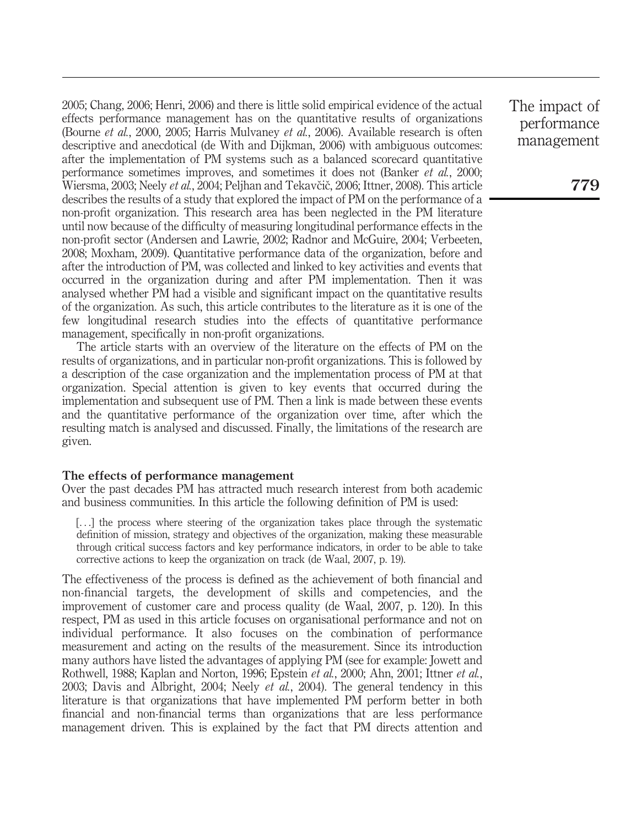2005; Chang, 2006; Henri, 2006) and there is little solid empirical evidence of the actual effects performance management has on the quantitative results of organizations (Bourne et al., 2000, 2005; Harris Mulvaney et al., 2006). Available research is often descriptive and anecdotical (de With and Dijkman, 2006) with ambiguous outcomes: after the implementation of PM systems such as a balanced scorecard quantitative performance sometimes improves, and sometimes it does not (Banker et al., 2000; Wiersma, 2003; Neely et al., 2004; Peljhan and Tekavčič, 2006; Ittner, 2008). This article describes the results of a study that explored the impact of PM on the performance of a non-profit organization. This research area has been neglected in the PM literature until now because of the difficulty of measuring longitudinal performance effects in the non-profit sector (Andersen and Lawrie, 2002; Radnor and McGuire, 2004; Verbeeten, 2008; Moxham, 2009). Quantitative performance data of the organization, before and after the introduction of PM, was collected and linked to key activities and events that occurred in the organization during and after PM implementation. Then it was analysed whether PM had a visible and significant impact on the quantitative results of the organization. As such, this article contributes to the literature as it is one of the few longitudinal research studies into the effects of quantitative performance management, specifically in non-profit organizations.

The article starts with an overview of the literature on the effects of PM on the results of organizations, and in particular non-profit organizations. This is followed by a description of the case organization and the implementation process of PM at that organization. Special attention is given to key events that occurred during the implementation and subsequent use of PM. Then a link is made between these events and the quantitative performance of the organization over time, after which the resulting match is analysed and discussed. Finally, the limitations of the research are given.

## The effects of performance management

Over the past decades PM has attracted much research interest from both academic and business communities. In this article the following definition of PM is used:

[...] the process where steering of the organization takes place through the systematic definition of mission, strategy and objectives of the organization, making these measurable through critical success factors and key performance indicators, in order to be able to take corrective actions to keep the organization on track (de Waal, 2007, p. 19).

The effectiveness of the process is defined as the achievement of both financial and non-financial targets, the development of skills and competencies, and the improvement of customer care and process quality (de Waal, 2007, p. 120). In this respect, PM as used in this article focuses on organisational performance and not on individual performance. It also focuses on the combination of performance measurement and acting on the results of the measurement. Since its introduction many authors have listed the advantages of applying PM (see for example: Jowett and Rothwell, 1988; Kaplan and Norton, 1996; Epstein et al., 2000; Ahn, 2001; Ittner et al., 2003; Davis and Albright, 2004; Neely et al., 2004). The general tendency in this literature is that organizations that have implemented PM perform better in both financial and non-financial terms than organizations that are less performance management driven. This is explained by the fact that PM directs attention and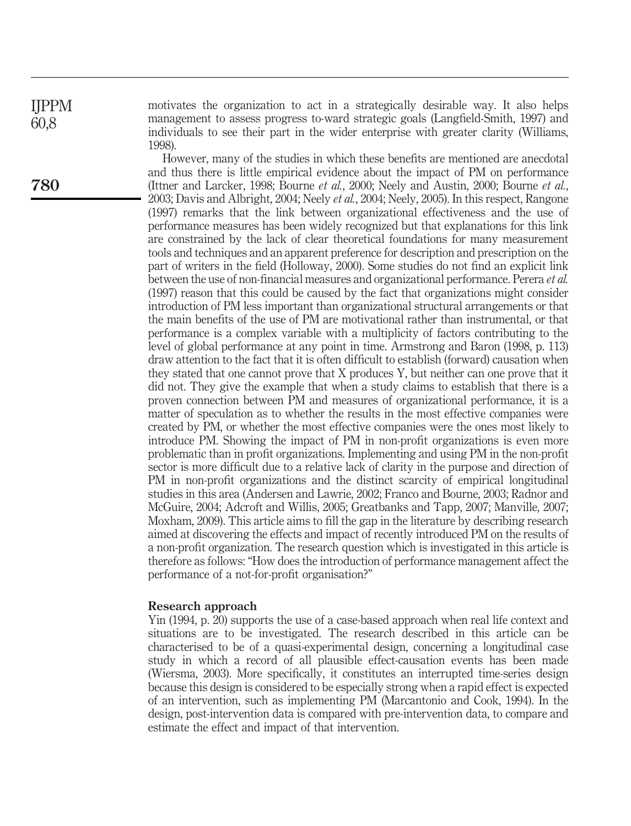IJPPM 60,8

780

motivates the organization to act in a strategically desirable way. It also helps management to assess progress to-ward strategic goals (Langfield-Smith, 1997) and individuals to see their part in the wider enterprise with greater clarity (Williams, 1998).

However, many of the studies in which these benefits are mentioned are anecdotal and thus there is little empirical evidence about the impact of PM on performance (Ittner and Larcker, 1998; Bourne et al., 2000; Neely and Austin, 2000; Bourne et al., 2003; Davis and Albright, 2004; Neely et al., 2004; Neely, 2005). In this respect, Rangone (1997) remarks that the link between organizational effectiveness and the use of performance measures has been widely recognized but that explanations for this link are constrained by the lack of clear theoretical foundations for many measurement tools and techniques and an apparent preference for description and prescription on the part of writers in the field (Holloway, 2000). Some studies do not find an explicit link between the use of non-financial measures and organizational performance. Perera et al. (1997) reason that this could be caused by the fact that organizations might consider introduction of PM less important than organizational structural arrangements or that the main benefits of the use of PM are motivational rather than instrumental, or that performance is a complex variable with a multiplicity of factors contributing to the level of global performance at any point in time. Armstrong and Baron (1998, p. 113) draw attention to the fact that it is often difficult to establish (forward) causation when they stated that one cannot prove that X produces Y, but neither can one prove that it did not. They give the example that when a study claims to establish that there is a proven connection between PM and measures of organizational performance, it is a matter of speculation as to whether the results in the most effective companies were created by PM, or whether the most effective companies were the ones most likely to introduce PM. Showing the impact of PM in non-profit organizations is even more problematic than in profit organizations. Implementing and using PM in the non-profit sector is more difficult due to a relative lack of clarity in the purpose and direction of PM in non-profit organizations and the distinct scarcity of empirical longitudinal studies in this area (Andersen and Lawrie, 2002; Franco and Bourne, 2003; Radnor and McGuire, 2004; Adcroft and Willis, 2005; Greatbanks and Tapp, 2007; Manville, 2007; Moxham, 2009). This article aims to fill the gap in the literature by describing research aimed at discovering the effects and impact of recently introduced PM on the results of a non-profit organization. The research question which is investigated in this article is therefore as follows: "How does the introduction of performance management affect the performance of a not-for-profit organisation?"

#### Research approach

Yin (1994, p. 20) supports the use of a case-based approach when real life context and situations are to be investigated. The research described in this article can be characterised to be of a quasi-experimental design, concerning a longitudinal case study in which a record of all plausible effect-causation events has been made (Wiersma, 2003). More specifically, it constitutes an interrupted time-series design because this design is considered to be especially strong when a rapid effect is expected of an intervention, such as implementing PM (Marcantonio and Cook, 1994). In the design, post-intervention data is compared with pre-intervention data, to compare and estimate the effect and impact of that intervention.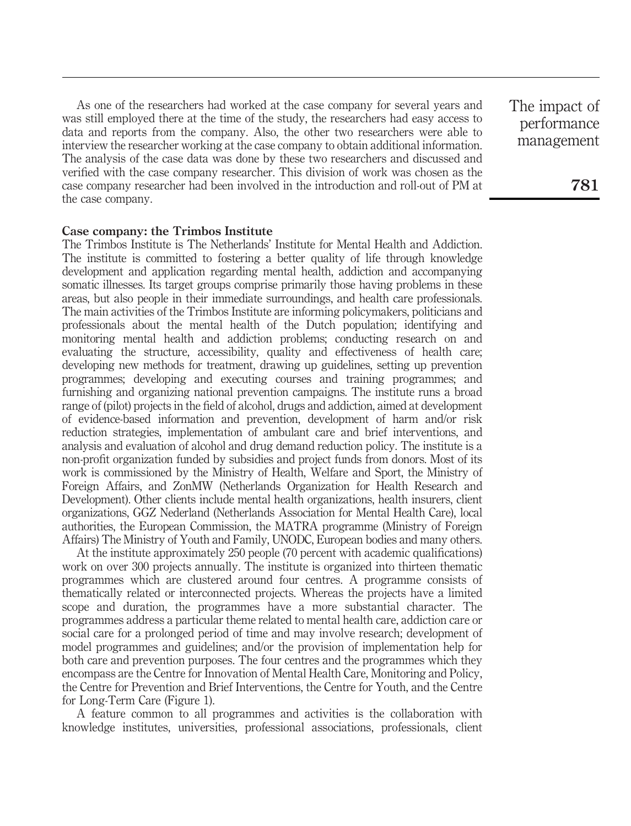As one of the researchers had worked at the case company for several years and was still employed there at the time of the study, the researchers had easy access to data and reports from the company. Also, the other two researchers were able to interview the researcher working at the case company to obtain additional information. The analysis of the case data was done by these two researchers and discussed and verified with the case company researcher. This division of work was chosen as the case company researcher had been involved in the introduction and roll-out of PM at the case company.

#### Case company: the Trimbos Institute

The Trimbos Institute is The Netherlands' Institute for Mental Health and Addiction. The institute is committed to fostering a better quality of life through knowledge development and application regarding mental health, addiction and accompanying somatic illnesses. Its target groups comprise primarily those having problems in these areas, but also people in their immediate surroundings, and health care professionals. The main activities of the Trimbos Institute are informing policymakers, politicians and professionals about the mental health of the Dutch population; identifying and monitoring mental health and addiction problems; conducting research on and evaluating the structure, accessibility, quality and effectiveness of health care; developing new methods for treatment, drawing up guidelines, setting up prevention programmes; developing and executing courses and training programmes; and furnishing and organizing national prevention campaigns. The institute runs a broad range of (pilot) projects in the field of alcohol, drugs and addiction, aimed at development of evidence-based information and prevention, development of harm and/or risk reduction strategies, implementation of ambulant care and brief interventions, and analysis and evaluation of alcohol and drug demand reduction policy. The institute is a non-profit organization funded by subsidies and project funds from donors. Most of its work is commissioned by the Ministry of Health, Welfare and Sport, the Ministry of Foreign Affairs, and ZonMW (Netherlands Organization for Health Research and Development). Other clients include mental health organizations, health insurers, client organizations, GGZ Nederland (Netherlands Association for Mental Health Care), local authorities, the European Commission, the MATRA programme (Ministry of Foreign Affairs) The Ministry of Youth and Family, UNODC, European bodies and many others.

At the institute approximately 250 people (70 percent with academic qualifications) work on over 300 projects annually. The institute is organized into thirteen thematic programmes which are clustered around four centres. A programme consists of thematically related or interconnected projects. Whereas the projects have a limited scope and duration, the programmes have a more substantial character. The programmes address a particular theme related to mental health care, addiction care or social care for a prolonged period of time and may involve research; development of model programmes and guidelines; and/or the provision of implementation help for both care and prevention purposes. The four centres and the programmes which they encompass are the Centre for Innovation of Mental Health Care, Monitoring and Policy, the Centre for Prevention and Brief Interventions, the Centre for Youth, and the Centre for Long-Term Care (Figure 1).

A feature common to all programmes and activities is the collaboration with knowledge institutes, universities, professional associations, professionals, client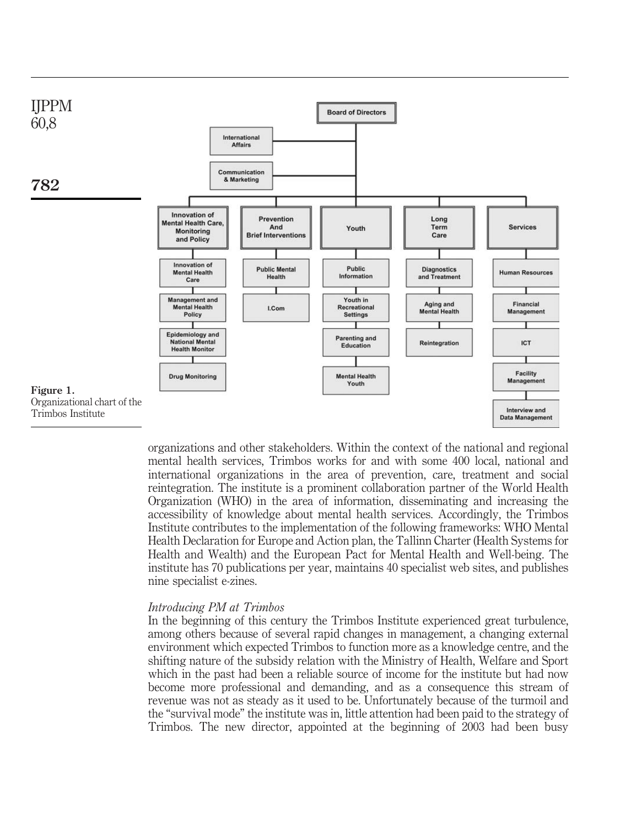

organizations and other stakeholders. Within the context of the national and regional mental health services, Trimbos works for and with some 400 local, national and international organizations in the area of prevention, care, treatment and social reintegration. The institute is a prominent collaboration partner of the World Health Organization (WHO) in the area of information, disseminating and increasing the accessibility of knowledge about mental health services. Accordingly, the Trimbos Institute contributes to the implementation of the following frameworks: WHO Mental Health Declaration for Europe and Action plan, the Tallinn Charter (Health Systems for Health and Wealth) and the European Pact for Mental Health and Well-being. The institute has 70 publications per year, maintains 40 specialist web sites, and publishes nine specialist e-zines.

## Introducing PM at Trimbos

In the beginning of this century the Trimbos Institute experienced great turbulence, among others because of several rapid changes in management, a changing external environment which expected Trimbos to function more as a knowledge centre, and the shifting nature of the subsidy relation with the Ministry of Health, Welfare and Sport which in the past had been a reliable source of income for the institute but had now become more professional and demanding, and as a consequence this stream of revenue was not as steady as it used to be. Unfortunately because of the turmoil and the "survival mode" the institute was in, little attention had been paid to the strategy of Trimbos. The new director, appointed at the beginning of 2003 had been busy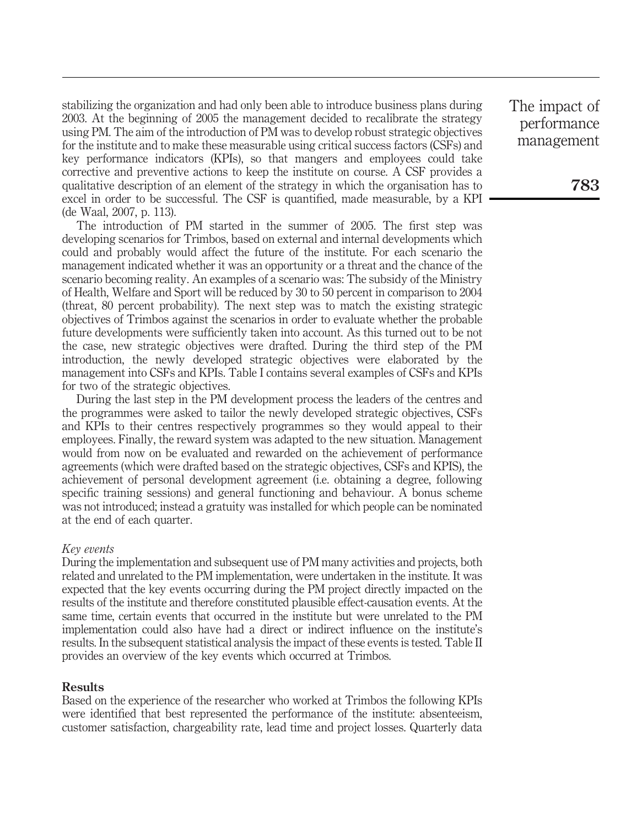stabilizing the organization and had only been able to introduce business plans during 2003. At the beginning of 2005 the management decided to recalibrate the strategy using PM. The aim of the introduction of PM was to develop robust strategic objectives for the institute and to make these measurable using critical success factors (CSFs) and key performance indicators (KPIs), so that mangers and employees could take corrective and preventive actions to keep the institute on course. A CSF provides a qualitative description of an element of the strategy in which the organisation has to excel in order to be successful. The CSF is quantified, made measurable, by a KPI (de Waal, 2007, p. 113).

The introduction of PM started in the summer of 2005. The first step was developing scenarios for Trimbos, based on external and internal developments which could and probably would affect the future of the institute. For each scenario the management indicated whether it was an opportunity or a threat and the chance of the scenario becoming reality. An examples of a scenario was: The subsidy of the Ministry of Health, Welfare and Sport will be reduced by 30 to 50 percent in comparison to 2004 (threat, 80 percent probability). The next step was to match the existing strategic objectives of Trimbos against the scenarios in order to evaluate whether the probable future developments were sufficiently taken into account. As this turned out to be not the case, new strategic objectives were drafted. During the third step of the PM introduction, the newly developed strategic objectives were elaborated by the management into CSFs and KPIs. Table I contains several examples of CSFs and KPIs for two of the strategic objectives.

During the last step in the PM development process the leaders of the centres and the programmes were asked to tailor the newly developed strategic objectives, CSFs and KPIs to their centres respectively programmes so they would appeal to their employees. Finally, the reward system was adapted to the new situation. Management would from now on be evaluated and rewarded on the achievement of performance agreements (which were drafted based on the strategic objectives, CSFs and KPIS), the achievement of personal development agreement (i.e. obtaining a degree, following specific training sessions) and general functioning and behaviour. A bonus scheme was not introduced; instead a gratuity was installed for which people can be nominated at the end of each quarter.

#### Key events

During the implementation and subsequent use of PM many activities and projects, both related and unrelated to the PM implementation, were undertaken in the institute. It was expected that the key events occurring during the PM project directly impacted on the results of the institute and therefore constituted plausible effect-causation events. At the same time, certain events that occurred in the institute but were unrelated to the PM implementation could also have had a direct or indirect influence on the institute's results. In the subsequent statistical analysis the impact of these events is tested. Table II provides an overview of the key events which occurred at Trimbos.

#### Results

Based on the experience of the researcher who worked at Trimbos the following KPIs were identified that best represented the performance of the institute: absenteeism, customer satisfaction, chargeability rate, lead time and project losses. Quarterly data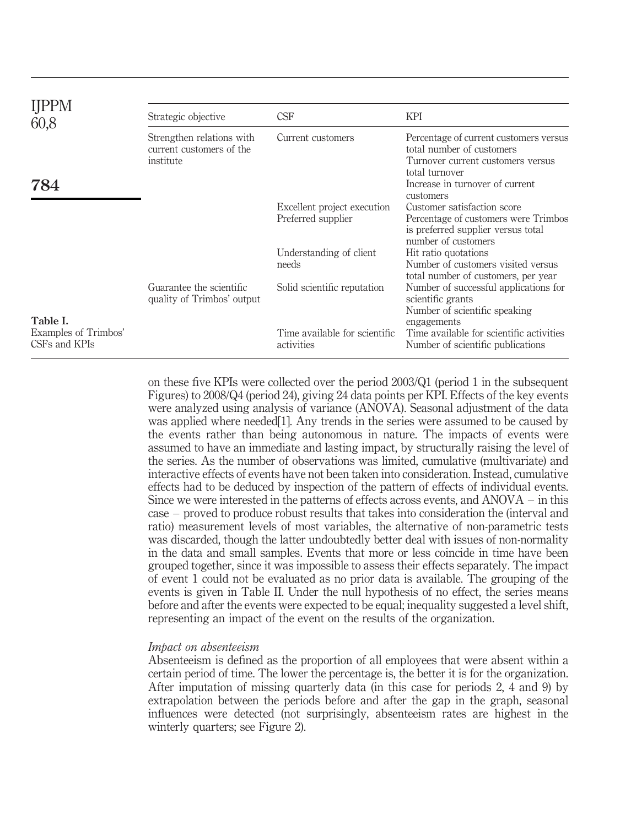|                                                   | Strategic objective                                                | CSF                                         | <b>KPI</b>                                                                                                                         |
|---------------------------------------------------|--------------------------------------------------------------------|---------------------------------------------|------------------------------------------------------------------------------------------------------------------------------------|
|                                                   | Strengthen relations with<br>current customers of the<br>institute | Current customers                           | Percentage of current customers versus<br>total number of customers<br>Turnover current customers versus<br>total turnover         |
| 784                                               |                                                                    |                                             | Increase in turnover of current<br>customers                                                                                       |
|                                                   |                                                                    | Excellent project execution                 | Customer satisfaction score                                                                                                        |
|                                                   |                                                                    | Preferred supplier                          | Percentage of customers were Trimbos<br>is preferred supplier versus total<br>number of customers                                  |
|                                                   |                                                                    | Understanding of client                     | Hit ratio quotations                                                                                                               |
|                                                   |                                                                    | needs                                       | Number of customers visited versus                                                                                                 |
|                                                   | Guarantee the scientific<br>quality of Trimbos' output             | Solid scientific reputation                 | total number of customers, per year<br>Number of successful applications for<br>scientific grants<br>Number of scientific speaking |
| Table I.<br>Examples of Trimbos'<br>CSFs and KPIs |                                                                    | Time available for scientific<br>activities | engagements<br>Time available for scientific activities<br>Number of scientific publications                                       |

on these five KPIs were collected over the period 2003/Q1 (period 1 in the subsequent Figures) to 2008/Q4 (period 24), giving 24 data points per KPI. Effects of the key events were analyzed using analysis of variance (ANOVA). Seasonal adjustment of the data was applied where needed [1]. Any trends in the series were assumed to be caused by the events rather than being autonomous in nature. The impacts of events were assumed to have an immediate and lasting impact, by structurally raising the level of the series. As the number of observations was limited, cumulative (multivariate) and interactive effects of events have not been taken into consideration. Instead, cumulative effects had to be deduced by inspection of the pattern of effects of individual events. Since we were interested in the patterns of effects across events, and ANOVA – in this case – proved to produce robust results that takes into consideration the (interval and ratio) measurement levels of most variables, the alternative of non-parametric tests was discarded, though the latter undoubtedly better deal with issues of non-normality in the data and small samples. Events that more or less coincide in time have been grouped together, since it was impossible to assess their effects separately. The impact of event 1 could not be evaluated as no prior data is available. The grouping of the events is given in Table II. Under the null hypothesis of no effect, the series means before and after the events were expected to be equal; inequality suggested a level shift, representing an impact of the event on the results of the organization.

#### Impact on absenteeism

Absenteeism is defined as the proportion of all employees that were absent within a certain period of time. The lower the percentage is, the better it is for the organization. After imputation of missing quarterly data (in this case for periods 2, 4 and 9) by extrapolation between the periods before and after the gap in the graph, seasonal influences were detected (not surprisingly, absenteeism rates are highest in the winterly quarters; see Figure 2).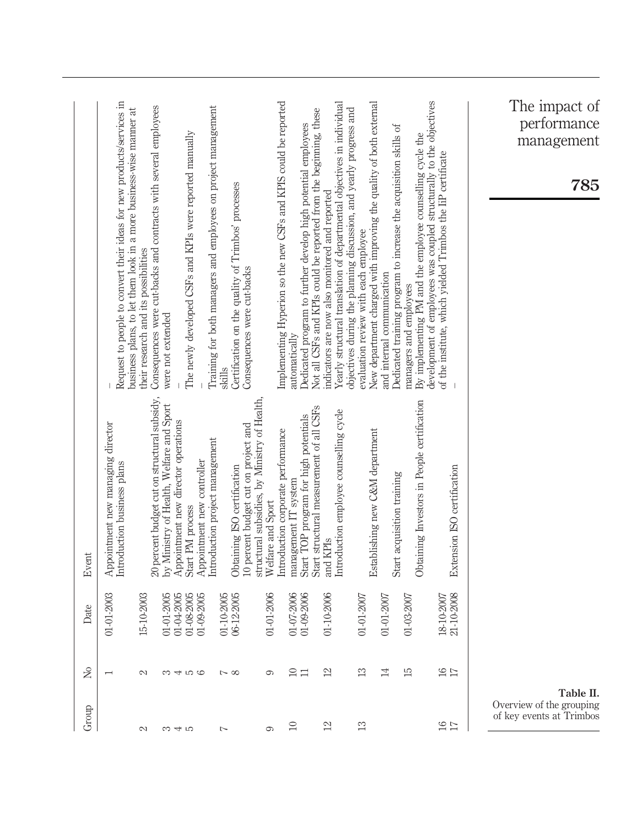| Group                                                             | $\gtrsim$                | Date                                  | Event                                                                                               |                                                                                                                                                                                               |
|-------------------------------------------------------------------|--------------------------|---------------------------------------|-----------------------------------------------------------------------------------------------------|-----------------------------------------------------------------------------------------------------------------------------------------------------------------------------------------------|
|                                                                   | $\overline{\phantom{0}}$ | 11-01-2003                            | Appointment new managing director<br>Introduction business plans                                    | Request to people to convert their ideas for new products/services in<br>business plans, to let them look in a more business-wise manner at                                                   |
| $\mathcal{L}$                                                     | $\mathcal{L}$            | 5-10-2003                             |                                                                                                     | their research and its possibilities                                                                                                                                                          |
|                                                                   |                          | 11-01-2005                            | 20 percent budget cut on structural subsidy,<br>by Ministry of Health, Welfare and Sport            | Consequences were cut-backs and contracts with several employees<br>were not extended                                                                                                         |
| $\omega \neq \omega$                                              |                          | 1-04-2005                             | Appointment new director operations                                                                 |                                                                                                                                                                                               |
|                                                                   | m 4 10 0                 | 1-08-2005<br>1.09-2005                | Appointment new controller<br>Start PM process                                                      | The newly developed CSFs and KPIs were reported manually                                                                                                                                      |
|                                                                   |                          |                                       | Introduction project management                                                                     | Training for both managers and employees on project management                                                                                                                                |
| $\sim$                                                            | $\sim \infty$            | 110-2005<br>06-12-2005                | 10 percent budget cut on project and<br>Obtaining ISO certification                                 | Certification on the quality of Trimbos' processes<br>Consequences were cut-backs<br>skills                                                                                                   |
| G                                                                 | G                        | 1-01-2006                             | structural subsidies, by Ministry of Health,<br>Welfare and Sport                                   |                                                                                                                                                                                               |
| $\Xi$                                                             | 10 <sub>1</sub>          | 1-07-2006<br>11-09-2006               | Start TOP program for high potentials<br>Introduction corporate performance<br>management IT system | Implementing Hyperion so the new CSFs and KPIS could be reported<br>Dedicated program to further develop high potential employees<br>automatically                                            |
| 12                                                                | $\overline{2}$           | 11-10-2006                            | Start structural measurement of all CSFs<br>Introduction employee counselling cycle<br>and KPIs     | Yearly structural translation of departmental objectives in individual<br>Not all CSFs and KPIs could be reported from the beginning, these<br>indicators are now also monitored and reported |
| $\mathbf{13}$                                                     | $\mathbb{C}$             | 1.01-2007                             |                                                                                                     | objectives during the planning discussion, and yearly progress and<br>evaluation review with each employee                                                                                    |
|                                                                   |                          | 1-01-2007                             | Establishing new C&M department                                                                     | New department charged with improving the quality of both external<br>and internal communication                                                                                              |
|                                                                   | $\overline{15}$          | 1-03-2007                             | Obtaining Investors in People certification<br>Start acquisition training                           | Dedicated training program to increase the acquisition skills of<br>By implementing PM and the employee counselling cycle the<br>managers and employees                                       |
| $\frac{16}{17}$                                                   | $\frac{16}{17}$          | 18-10-2007<br>21-10-2008<br>8-10-2007 | Extension ISO certification                                                                         | development of employees was coupled structurally to the objectives<br>of the institute, which yielded Trimbos the IiP certificate                                                            |
| Table II.<br>Overview of the grouping<br>of key events at Trimbos |                          |                                       |                                                                                                     | The impact of<br>performance<br>management<br>785                                                                                                                                             |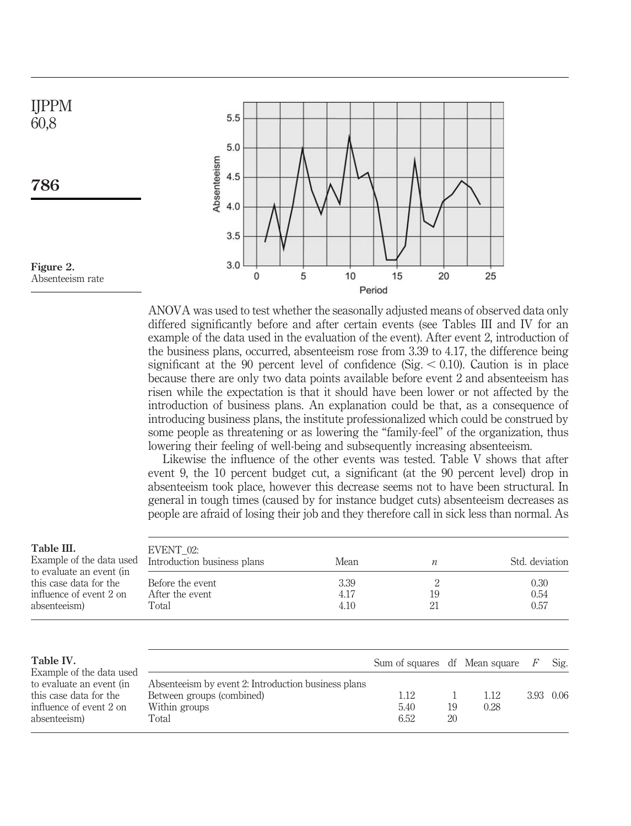

ANOVA was used to test whether the seasonally adjusted means of observed data only differed significantly before and after certain events (see Tables III and IV for an example of the data used in the evaluation of the event). After event 2, introduction of the business plans, occurred, absenteeism rose from 3.39 to 4.17, the difference being significant at the 90 percent level of confidence (Sig.  $\lt$  0.10). Caution is in place because there are only two data points available before event 2 and absenteeism has risen while the expectation is that it should have been lower or not affected by the introduction of business plans. An explanation could be that, as a consequence of introducing business plans, the institute professionalized which could be construed by some people as threatening or as lowering the "family-feel" of the organization, thus lowering their feeling of well-being and subsequently increasing absenteeism.

Likewise the influence of the other events was tested. Table V shows that after event 9, the 10 percent budget cut, a significant (at the 90 percent level) drop in absenteeism took place, however this decrease seems not to have been structural. In general in tough times (caused by for instance budget cuts) absenteeism decreases as people are afraid of losing their job and they therefore call in sick less than normal. As

| Table III.<br>Example of the data used<br>to evaluate an event (in                                                       | EVENT 02:<br>Introduction business plans<br>Mean                                                            |                      | $\boldsymbol{n}$ |                               | Std. deviation       |      |
|--------------------------------------------------------------------------------------------------------------------------|-------------------------------------------------------------------------------------------------------------|----------------------|------------------|-------------------------------|----------------------|------|
| this case data for the<br>influence of event 2 on<br>absenteeism)                                                        | 3.39<br>Before the event<br>4.17<br>After the event<br>4.10<br>Total                                        |                      | 2<br>19<br>21    |                               | 0.30<br>0.54<br>0.57 |      |
| Table IV.                                                                                                                |                                                                                                             |                      |                  | Sum of squares df Mean square | F                    | Sig. |
| Example of the data used<br>to evaluate an event (in<br>this case data for the<br>influence of event 2 on<br>absenteeism | Absenteerism by event 2: Introduction business plans<br>Between groups (combined)<br>Within groups<br>Total | 1.12<br>5.40<br>6.52 | 19<br>20         | 1.12<br>0.28                  | 3.93                 | 0.06 |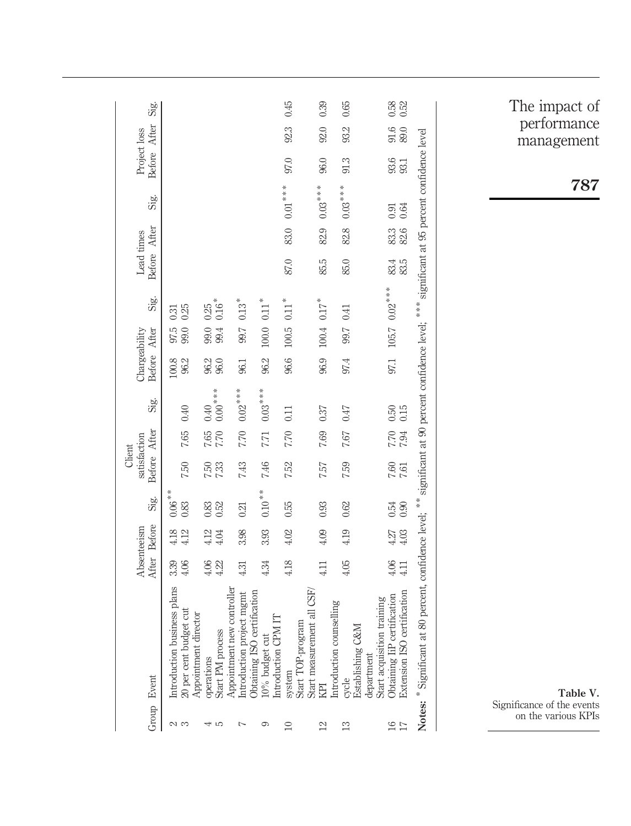|                     | Group Event                                                                                                                                      | After            | <b>Before</b><br>Absenteeism | Sig.              | Before After<br>satisfaction<br>Client |                | Sig.                          | Before After<br>Chargeability |              | Sig.                            | Before After<br>Lead times |      | Si <sub>g</sub>    |                                             | Before After<br>Project loss | Sig              |
|---------------------|--------------------------------------------------------------------------------------------------------------------------------------------------|------------------|------------------------------|-------------------|----------------------------------------|----------------|-------------------------------|-------------------------------|--------------|---------------------------------|----------------------------|------|--------------------|---------------------------------------------|------------------------------|------------------|
| <u>လ က</u>          | Introduction business plans<br>get cut<br>20 per cent bud                                                                                        | 3.39<br>4.06     | $4.18$<br>$4.12$             | $0.06***$<br>0.83 | 7.50                                   | 7.65           | 0.40                          | $100.8\,$<br>96.2             | 97.5<br>99.0 | $0.31$<br>$0.25$                |                            |      |                    |                                             |                              |                  |
| 4 ඟ                 | irector<br>Start PM process<br>Appointment di<br>operations                                                                                      | $4.22$<br>$4.22$ | 4.12<br>4.04                 | 0.83              | 7.33                                   | $7.56$<br>7.70 | $0.00^{\, **}_{\, *}$<br>0.40 | 96.2<br>96.0                  | 99.4         | $0.25$ *                        |                            |      |                    |                                             |                              |                  |
| Z                   | Appointment new controller<br>ject mgmt<br>Introduction pro                                                                                      | 4.31             | 3.98                         | 0.21              | 7.43                                   | 7.70           | $0.02***$                     | 96.1                          | 99.7         | $0.13\,^*$                      |                            |      |                    |                                             |                              |                  |
| ာ                   | Obtaining ISO certification<br>10% budget cut                                                                                                    | 4.34             | 3.93                         | $0.10**$          | 7.46                                   | 7.71           | $0.03***$                     | 96.2                          | 100.0        | $0.11$ $^{\ast}$                |                            |      |                    |                                             |                              |                  |
| $\supseteq$         | Introduction CPM IT<br>system                                                                                                                    | 4.18             | 4.02                         | 0.55              | 7.52                                   | 7.70           | 0.11                          | 96.6                          | 100.5        | $0.11$ $^{\ast}$                | 87.0                       | 83.0 | $0.01^{***}$       | 97.0                                        | 92.3                         | 0.45             |
| $^{12}$             | Start measurement all CSF/<br>Start TOP-program<br>KPI                                                                                           | 4.11             | 4.09                         | 0.93              | 7.57                                   | 7.69           | 0.37                          | 96.9                          |              | $100.4 \cdot 0.17$ <sup>*</sup> | 85.5                       | 82.9 | $0.03***$          | 96.0                                        | 92.0                         | 0.39             |
| $\mathbf{r}$        | Introduction counselling<br>cycle                                                                                                                | 4.05             | 4.19                         | 0.62              | 7.59                                   | 7.67           | 0.47                          | 97.4                          | 99.7         | 0.41                            | 85.0                       | 82.8 | $0.03***$          | 91.3                                        | 93.2                         | 0.65             |
| $\frac{16}{17}$     | Extension ISO certification<br>Obtaining IiP certification<br>Start acquisition training<br>Establishing C&M<br>department                       | 4.06<br>4.11     | 4.03<br>4.27                 | $0.54$<br>$0.90$  | $7.60\phantom{00}$                     | $\frac{16}{2}$ | $0.50$<br>$0.15$              | 97.1                          | $105.7\,$    | $0.02***$                       | 83.4<br>83.5               | 83.3 | $\bf 0.64$<br>0.91 | $\begin{array}{c} 93.6 \\ 93.1 \end{array}$ | 91.6<br>89.0                 | $0.58$<br>$0.52$ |
| Notes:              | 80 percent, confidence level; ** significant at 90 percent confidence level; **** significant at 95 percent confidence level<br>* Significant at |                  |                              |                   |                                        |                |                               |                               |              |                                 |                            |      |                    |                                             |                              |                  |
|                     |                                                                                                                                                  |                  |                              |                   |                                        |                |                               |                               |              |                                 |                            |      |                    |                                             |                              |                  |
| on the various KPIs | Table V.<br>Significance of the events                                                                                                           |                  |                              |                   |                                        |                |                               |                               |              |                                 |                            |      | 787                |                                             | performance<br>management    | The impact of    |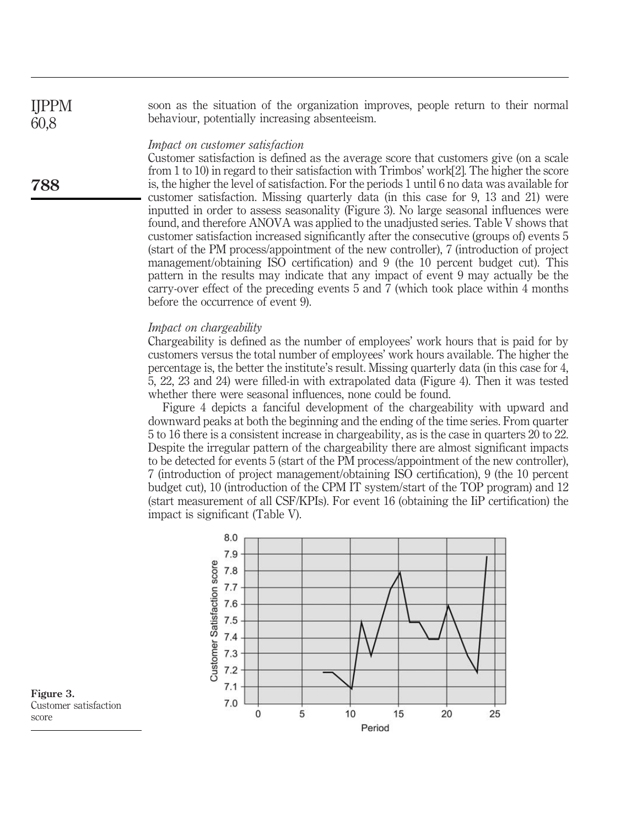soon as the situation of the organization improves, people return to their normal behaviour, potentially increasing absenteeism.

#### Impact on customer satisfaction

Customer satisfaction is defined as the average score that customers give (on a scale from 1 to 10) in regard to their satisfaction with Trimbos' work[2]. The higher the score is, the higher the level of satisfaction. For the periods 1 until 6 no data was available for customer satisfaction. Missing quarterly data (in this case for 9, 13 and 21) were inputted in order to assess seasonality (Figure 3). No large seasonal influences were found, and therefore ANOVA was applied to the unadjusted series. Table V shows that customer satisfaction increased significantly after the consecutive (groups of) events 5 (start of the PM process/appointment of the new controller), 7 (introduction of project management/obtaining ISO certification) and 9 (the 10 percent budget cut). This pattern in the results may indicate that any impact of event 9 may actually be the carry-over effect of the preceding events 5 and 7 (which took place within 4 months before the occurrence of event 9).

#### Impact on chargeability

Chargeability is defined as the number of employees' work hours that is paid for by customers versus the total number of employees' work hours available. The higher the percentage is, the better the institute's result. Missing quarterly data (in this case for 4, 5, 22, 23 and 24) were filled-in with extrapolated data (Figure 4). Then it was tested whether there were seasonal influences, none could be found.

Figure 4 depicts a fanciful development of the chargeability with upward and downward peaks at both the beginning and the ending of the time series. From quarter 5 to 16 there is a consistent increase in chargeability, as is the case in quarters 20 to 22. Despite the irregular pattern of the chargeability there are almost significant impacts to be detected for events 5 (start of the PM process/appointment of the new controller), 7 (introduction of project management/obtaining ISO certification), 9 (the 10 percent budget cut), 10 (introduction of the CPM IT system/start of the TOP program) and 12 (start measurement of all CSF/KPIs). For event 16 (obtaining the IiP certification) the impact is significant (Table V).



Figure 3. Customer satisfaction score

IJPPM 60,8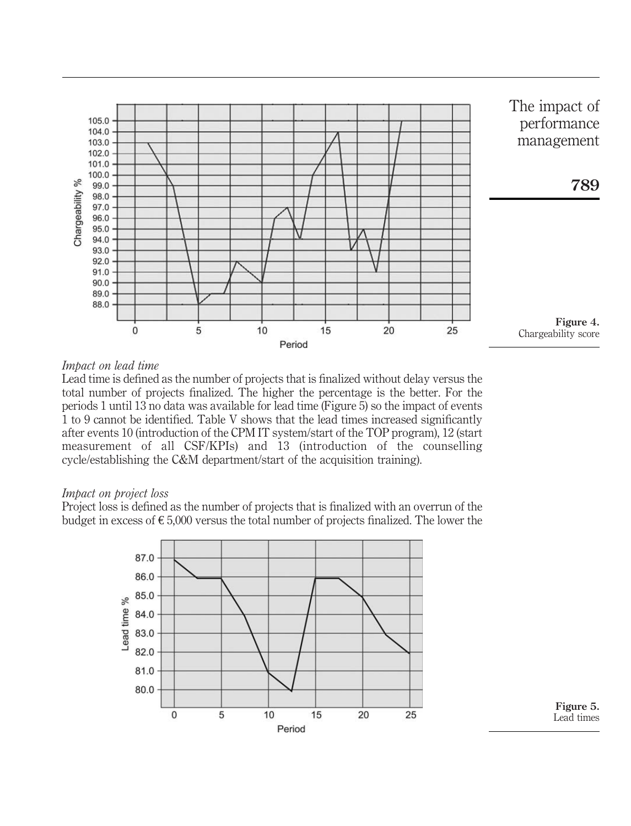

# Impact on lead time

Lead time is defined as the number of projects that is finalized without delay versus the total number of projects finalized. The higher the percentage is the better. For the periods 1 until 13 no data was available for lead time (Figure 5) so the impact of events 1 to 9 cannot be identified. Table V shows that the lead times increased significantly after events 10 (introduction of the CPM IT system/start of the TOP program), 12 (start measurement of all CSF/KPIs) and 13 (introduction of the counselling cycle/establishing the C&M department/start of the acquisition training).

## Impact on project loss

Project loss is defined as the number of projects that is finalized with an overrun of the budget in excess of *e* 5,000 versus the total number of projects finalized. The lower the



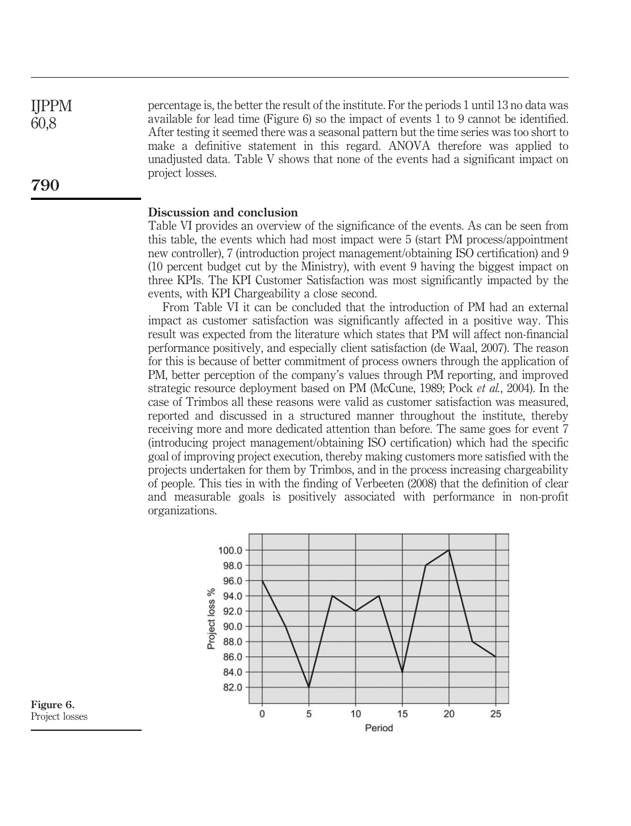| <b>IIPPM</b><br>60,8 | percentage is, the better the result of the institute. For the periods 1 until 13 no data was<br>available for lead time (Figure 6) so the impact of events 1 to 9 cannot be identified.<br>After testing it seemed there was a seasonal pattern but the time series was too short to<br>make a definitive statement in this regard. ANOVA therefore was applied to<br>unadjusted data. Table V shows that none of the events had a significant impact on |
|----------------------|-----------------------------------------------------------------------------------------------------------------------------------------------------------------------------------------------------------------------------------------------------------------------------------------------------------------------------------------------------------------------------------------------------------------------------------------------------------|
| 790                  | project losses.                                                                                                                                                                                                                                                                                                                                                                                                                                           |

#### Discussion and conclusion

Table VI provides an overview of the significance of the events. As can be seen from this table, the events which had most impact were 5 (start PM process/appointment new controller), 7 (introduction project management/obtaining ISO certification) and 9 (10 percent budget cut by the Ministry), with event 9 having the biggest impact on three KPIs. The KPI Customer Satisfaction was most significantly impacted by the events, with KPI Chargeability a close second.

From Table VI it can be concluded that the introduction of PM had an external impact as customer satisfaction was significantly affected in a positive way. This result was expected from the literature which states that PM will affect non-financial performance positively, and especially client satisfaction (de Waal, 2007). The reason for this is because of better commitment of process owners through the application of PM, better perception of the company's values through PM reporting, and improved strategic resource deployment based on PM (McCune, 1989; Pock et al., 2004). In the case of Trimbos all these reasons were valid as customer satisfaction was measured, reported and discussed in a structured manner throughout the institute, thereby receiving more and more dedicated attention than before. The same goes for event 7 (introducing project management/obtaining ISO certification) which had the specific goal of improving project execution, thereby making customers more satisfied with the projects undertaken for them by Trimbos, and in the process increasing chargeability of people. This ties in with the finding of Verbeeten (2008) that the definition of clear and measurable goals is positively associated with performance in non-profit organizations.



Figure 6. Project losses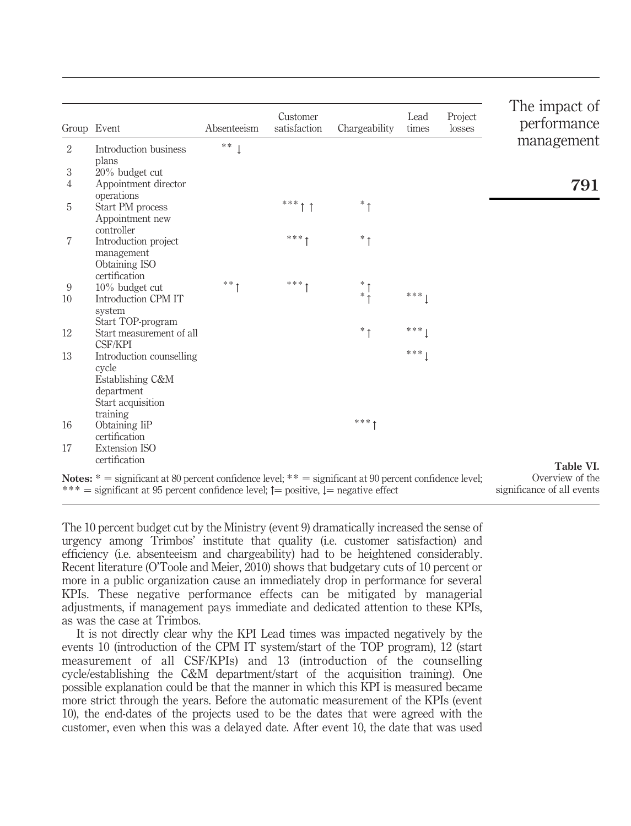| Group Event |                                                                                                                                                                                                                                | Absenteeism   | Customer<br>satisfaction | Chargeability    | Lead<br>times  | Project<br>losses | The impact of<br>performance                  |
|-------------|--------------------------------------------------------------------------------------------------------------------------------------------------------------------------------------------------------------------------------|---------------|--------------------------|------------------|----------------|-------------------|-----------------------------------------------|
| 2           | Introduction business<br>plans                                                                                                                                                                                                 | $\ast$ $\ast$ |                          |                  |                |                   | management                                    |
| 3           | $20\%$ budget cut                                                                                                                                                                                                              |               |                          |                  |                |                   |                                               |
| 4           | Appointment director<br>operations                                                                                                                                                                                             |               |                          |                  |                |                   | 791                                           |
| 5           | Start PM process<br>Appointment new                                                                                                                                                                                            |               | $*** +$                  | $*$ 1            |                |                   |                                               |
| 7           | controller<br>Introduction project<br>management<br>Obtaining ISO                                                                                                                                                              |               | *** $+$                  | $*$ 1            |                |                   |                                               |
|             | certification                                                                                                                                                                                                                  | $***$ +       | *** $+$                  | $*$ <sup>+</sup> |                |                   |                                               |
| 9<br>10     | $10\%$ budget cut                                                                                                                                                                                                              |               |                          | $*$ <sup>1</sup> | $***$          |                   |                                               |
|             | Introduction CPM IT<br>system                                                                                                                                                                                                  |               |                          |                  |                |                   |                                               |
| 12          | Start TOP-program<br>Start measurement of all<br><b>CSF/KPI</b>                                                                                                                                                                |               |                          | $*$ <sup>+</sup> | $\ast\ast\ast$ |                   |                                               |
| 13          | Introduction counselling<br>cycle<br>Establishing C&M<br>department<br>Start acquisition<br>training                                                                                                                           |               |                          |                  | $\ast\ast\ast$ |                   |                                               |
| 16          | Obtaining IiP<br>certification                                                                                                                                                                                                 |               |                          | *** $+$          |                |                   |                                               |
| 17          | <b>Extension ISO</b><br>certification                                                                                                                                                                                          |               |                          |                  |                |                   | Table VI.                                     |
|             | <b>Notes:</b> $* =$ significant at 80 percent confidence level; $* * =$ significant at 90 percent confidence level;<br>*** = significant at 95 percent confidence level; $\uparrow$ = positive, $\downarrow$ = negative effect |               |                          |                  |                |                   | Overview of the<br>significance of all events |

The 10 percent budget cut by the Ministry (event 9) dramatically increased the sense of urgency among Trimbos' institute that quality (i.e. customer satisfaction) and efficiency (i.e. absenteeism and chargeability) had to be heightened considerably. Recent literature (O'Toole and Meier, 2010) shows that budgetary cuts of 10 percent or more in a public organization cause an immediately drop in performance for several KPIs. These negative performance effects can be mitigated by managerial adjustments, if management pays immediate and dedicated attention to these KPIs, as was the case at Trimbos.

It is not directly clear why the KPI Lead times was impacted negatively by the events 10 (introduction of the CPM IT system/start of the TOP program), 12 (start measurement of all CSF/KPIs) and 13 (introduction of the counselling cycle/establishing the C&M department/start of the acquisition training). One possible explanation could be that the manner in which this KPI is measured became more strict through the years. Before the automatic measurement of the KPIs (event 10), the end-dates of the projects used to be the dates that were agreed with the customer, even when this was a delayed date. After event 10, the date that was used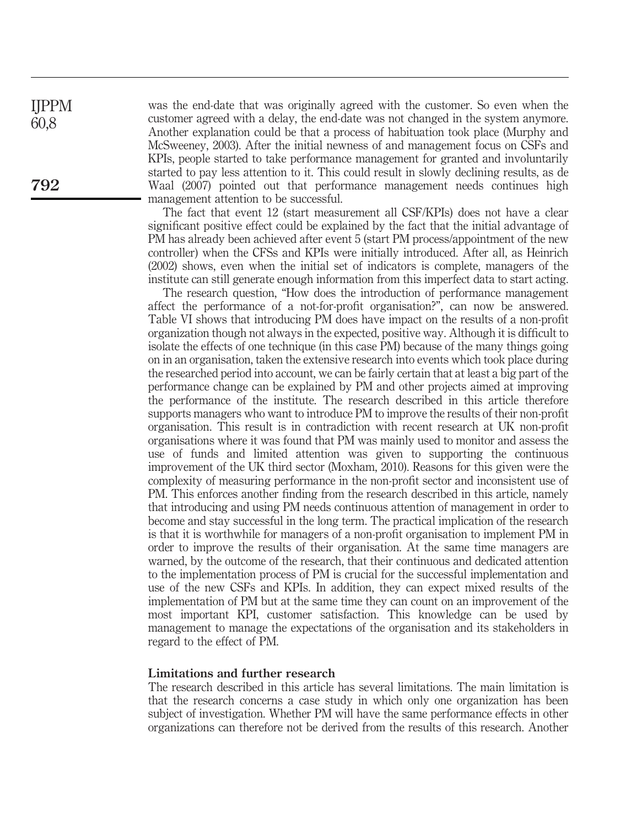was the end-date that was originally agreed with the customer. So even when the customer agreed with a delay, the end-date was not changed in the system anymore. Another explanation could be that a process of habituation took place (Murphy and McSweeney, 2003). After the initial newness of and management focus on CSFs and KPIs, people started to take performance management for granted and involuntarily started to pay less attention to it. This could result in slowly declining results, as de Waal (2007) pointed out that performance management needs continues high management attention to be successful.

The fact that event 12 (start measurement all CSF/KPIs) does not have a clear significant positive effect could be explained by the fact that the initial advantage of PM has already been achieved after event 5 (start PM process/appointment of the new controller) when the CFSs and KPIs were initially introduced. After all, as Heinrich (2002) shows, even when the initial set of indicators is complete, managers of the institute can still generate enough information from this imperfect data to start acting.

The research question, "How does the introduction of performance management affect the performance of a not-for-profit organisation?", can now be answered. Table VI shows that introducing PM does have impact on the results of a non-profit organization though not always in the expected, positive way. Although it is difficult to isolate the effects of one technique (in this case PM) because of the many things going on in an organisation, taken the extensive research into events which took place during the researched period into account, we can be fairly certain that at least a big part of the performance change can be explained by PM and other projects aimed at improving the performance of the institute. The research described in this article therefore supports managers who want to introduce PM to improve the results of their non-profit organisation. This result is in contradiction with recent research at UK non-profit organisations where it was found that PM was mainly used to monitor and assess the use of funds and limited attention was given to supporting the continuous improvement of the UK third sector (Moxham, 2010). Reasons for this given were the complexity of measuring performance in the non-profit sector and inconsistent use of PM. This enforces another finding from the research described in this article, namely that introducing and using PM needs continuous attention of management in order to become and stay successful in the long term. The practical implication of the research is that it is worthwhile for managers of a non-profit organisation to implement PM in order to improve the results of their organisation. At the same time managers are warned, by the outcome of the research, that their continuous and dedicated attention to the implementation process of PM is crucial for the successful implementation and use of the new CSFs and KPIs. In addition, they can expect mixed results of the implementation of PM but at the same time they can count on an improvement of the most important KPI, customer satisfaction. This knowledge can be used by management to manage the expectations of the organisation and its stakeholders in regard to the effect of PM.

## Limitations and further research

The research described in this article has several limitations. The main limitation is that the research concerns a case study in which only one organization has been subject of investigation. Whether PM will have the same performance effects in other organizations can therefore not be derived from the results of this research. Another

IJPPM 60,8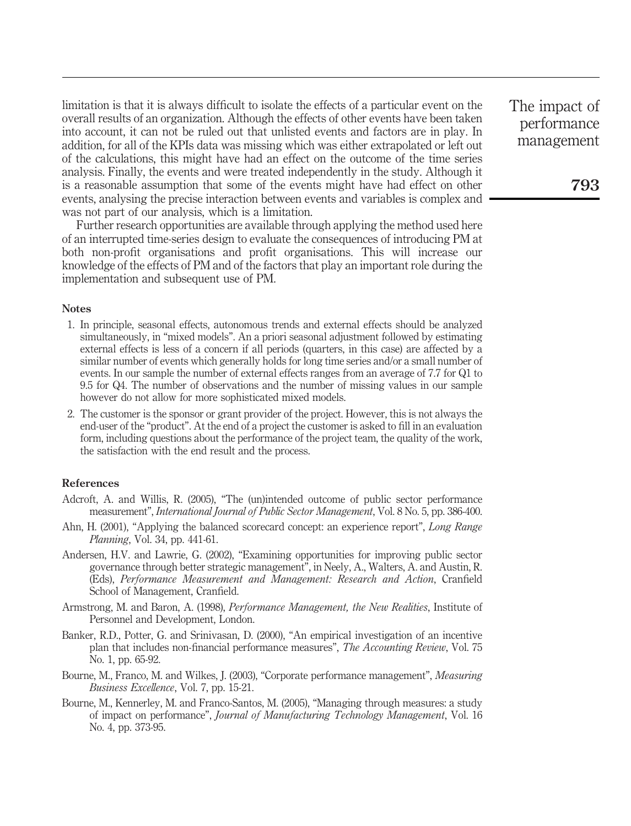limitation is that it is always difficult to isolate the effects of a particular event on the overall results of an organization. Although the effects of other events have been taken into account, it can not be ruled out that unlisted events and factors are in play. In addition, for all of the KPIs data was missing which was either extrapolated or left out of the calculations, this might have had an effect on the outcome of the time series analysis. Finally, the events and were treated independently in the study. Although it is a reasonable assumption that some of the events might have had effect on other events, analysing the precise interaction between events and variables is complex and was not part of our analysis, which is a limitation.

Further research opportunities are available through applying the method used here of an interrupted time-series design to evaluate the consequences of introducing PM at both non-profit organisations and profit organisations. This will increase our knowledge of the effects of PM and of the factors that play an important role during the implementation and subsequent use of PM.

#### **Notes**

- 1. In principle, seasonal effects, autonomous trends and external effects should be analyzed simultaneously, in "mixed models". An a priori seasonal adjustment followed by estimating external effects is less of a concern if all periods (quarters, in this case) are affected by a similar number of events which generally holds for long time series and/or a small number of events. In our sample the number of external effects ranges from an average of 7.7 for Q1 to 9.5 for Q4. The number of observations and the number of missing values in our sample however do not allow for more sophisticated mixed models.
- 2. The customer is the sponsor or grant provider of the project. However, this is not always the end-user of the "product". At the end of a project the customer is asked to fill in an evaluation form, including questions about the performance of the project team, the quality of the work, the satisfaction with the end result and the process.

#### References

- Adcroft, A. and Willis, R. (2005), "The (un)intended outcome of public sector performance measurement", International Journal of Public Sector Management, Vol. 8 No. 5, pp. 386-400.
- Ahn, H. (2001), "Applying the balanced scorecard concept: an experience report", Long Range Planning, Vol. 34, pp. 441-61.
- Andersen, H.V. and Lawrie, G. (2002), "Examining opportunities for improving public sector governance through better strategic management", in Neely, A., Walters, A. and Austin, R. (Eds), Performance Measurement and Management: Research and Action, Cranfield School of Management, Cranfield.
- Armstrong, M. and Baron, A. (1998), Performance Management, the New Realities, Institute of Personnel and Development, London.
- Banker, R.D., Potter, G. and Srinivasan, D. (2000), "An empirical investigation of an incentive plan that includes non-financial performance measures", The Accounting Review, Vol. 75 No. 1, pp. 65-92.
- Bourne, M., Franco, M. and Wilkes, J. (2003), "Corporate performance management", Measuring Business Excellence, Vol. 7, pp. 15-21.
- Bourne, M., Kennerley, M. and Franco-Santos, M. (2005), "Managing through measures: a study of impact on performance", Journal of Manufacturing Technology Management, Vol. 16 No. 4, pp. 373-95.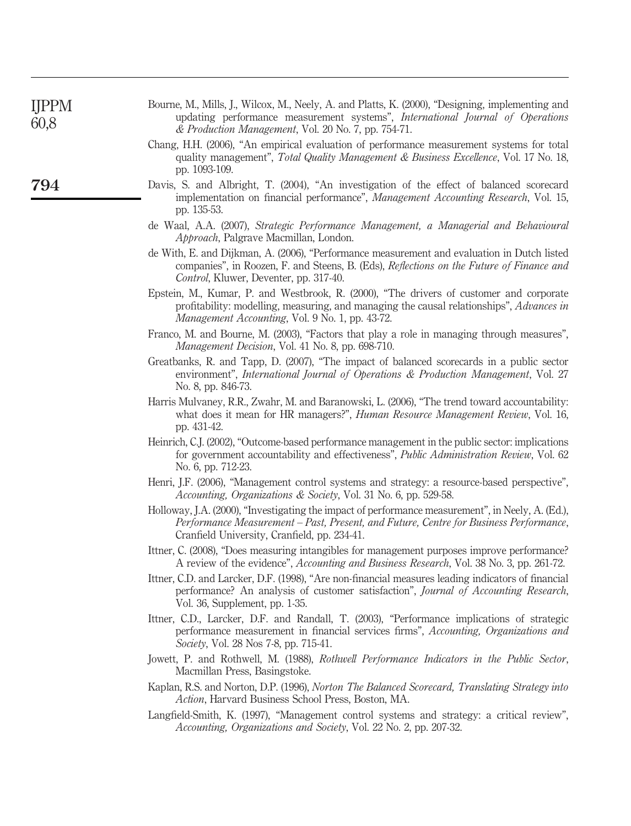| <b>IJPPM</b><br>60,8 | Bourne, M., Mills, J., Wilcox, M., Neely, A. and Platts, K. (2000), "Designing, implementing and<br>updating performance measurement systems", International Journal of Operations<br>& Production Management, Vol. 20 No. 7, pp. 754-71.     |
|----------------------|-----------------------------------------------------------------------------------------------------------------------------------------------------------------------------------------------------------------------------------------------|
|                      | Chang, H.H. (2006), "An empirical evaluation of performance measurement systems for total<br>quality management", Total Quality Management & Business Excellence, Vol. 17 No. 18,<br>pp. 1093-109.                                            |
| 794                  | Davis, S. and Albright, T. (2004), "An investigation of the effect of balanced scorecard<br>implementation on financial performance", Management Accounting Research, Vol. 15,<br>pp. 135-53.                                                 |
|                      | de Waal, A.A. (2007), Strategic Performance Management, a Managerial and Behavioural<br><i>Approach</i> , Palgrave Macmillan, London.                                                                                                         |
|                      | de With, E. and Dijkman, A. (2006), "Performance measurement and evaluation in Dutch listed<br>companies", in Roozen, F. and Steens, B. (Eds), Reflections on the Future of Finance and<br>Control, Kluwer, Deventer, pp. 317-40.             |
|                      | Epstein, M., Kumar, P. and Westbrook, R. (2000), "The drivers of customer and corporate<br>profitability: modelling, measuring, and managing the causal relationships", Advances in<br><i>Management Accounting, Vol. 9 No. 1, pp. 43-72.</i> |
|                      | Franco, M. and Bourne, M. (2003), "Factors that play a role in managing through measures",<br><i>Management Decision, Vol. 41 No. 8, pp. 698-710.</i>                                                                                         |
|                      | Greatbanks, R. and Tapp, D. (2007), "The impact of balanced scorecards in a public sector<br>environment", International Journal of Operations & Production Management, Vol. 27<br>No. 8, pp. 846-73.                                         |
|                      | Harris Mulvaney, R.R., Zwahr, M. and Baranowski, L. (2006), "The trend toward accountability:<br>what does it mean for HR managers?", Human Resource Management Review, Vol. 16,<br>pp. 431-42.                                               |
|                      | Heinrich, C.J. (2002), "Outcome-based performance management in the public sector: implications<br>for government accountability and effectiveness", Public Administration Review, Vol. 62<br>No. 6, pp. 712-23.                              |
|                      | Henri, J.F. (2006), "Management control systems and strategy: a resource-based perspective",<br>Accounting, Organizations & Society, Vol. 31 No. 6, pp. 529-58.                                                                               |
|                      | Holloway, J.A. (2000), "Investigating the impact of performance measurement", in Neely, A. (Ed.),<br>Performance Measurement – Past, Present, and Future, Centre for Business Performance,<br>Cranfield University, Cranfield, pp. 234-41.    |
|                      | Ittner, C. (2008), "Does measuring intangibles for management purposes improve performance?<br>A review of the evidence", <i>Accounting and Business Research</i> , Vol. 38 No. 3, pp. 261-72.                                                |
|                      | Ittner, C.D. and Larcker, D.F. (1998), "Are non-financial measures leading indicators of financial<br>performance? An analysis of customer satisfaction", Journal of Accounting Research,<br>Vol. 36, Supplement, pp. 1-35.                   |
|                      | Ittner, C.D., Larcker, D.F. and Randall, T. (2003), "Performance implications of strategic<br>performance measurement in financial services firms", Accounting, Organizations and<br>Society, Vol. 28 Nos 7-8, pp. 715-41.                    |
|                      | Jowett, P. and Rothwell, M. (1988), Rothwell Performance Indicators in the Public Sector,<br>Macmillan Press, Basingstoke.                                                                                                                    |
|                      | Kaplan, R.S. and Norton, D.P. (1996), Norton The Balanced Scorecard, Translating Strategy into<br>Action, Harvard Business School Press, Boston, MA.                                                                                          |
|                      | Langfield-Smith, K. (1997), "Management control systems and strategy: a critical review",<br>Accounting, Organizations and Society, Vol. 22 No. 2, pp. 207-32.                                                                                |
|                      |                                                                                                                                                                                                                                               |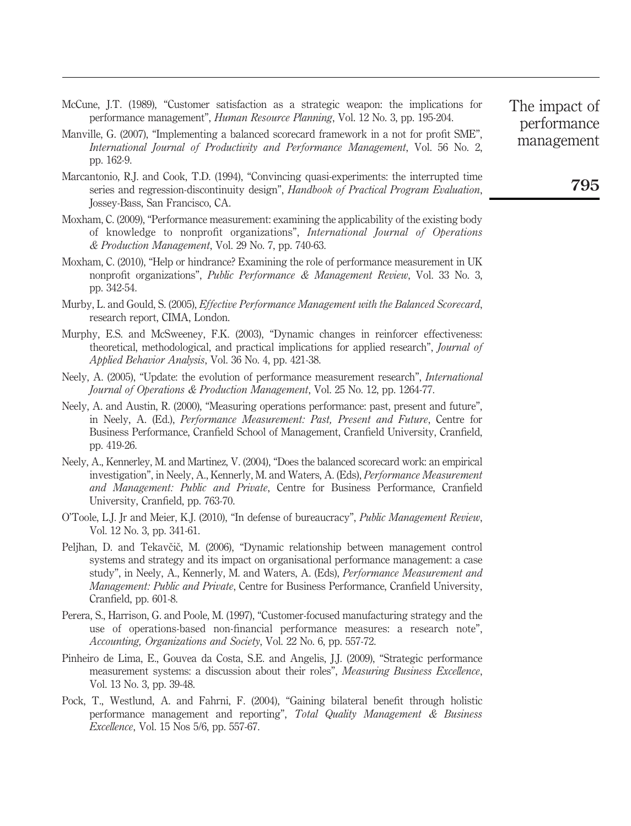- McCune, J.T. (1989), "Customer satisfaction as a strategic weapon: the implications for performance management", Human Resource Planning, Vol. 12 No. 3, pp. 195-204.
- Manville, G. (2007), "Implementing a balanced scorecard framework in a not for profit SME", International Journal of Productivity and Performance Management, Vol. 56 No. 2, pp. 162-9.
- Marcantonio, R.J. and Cook, T.D. (1994), "Convincing quasi-experiments: the interrupted time series and regression-discontinuity design", Handbook of Practical Program Evaluation, Jossey-Bass, San Francisco, CA.
- Moxham, C. (2009), "Performance measurement: examining the applicability of the existing body of knowledge to nonprofit organizations", International Journal of Operations & Production Management, Vol. 29 No. 7, pp. 740-63.
- Moxham, C. (2010), "Help or hindrance? Examining the role of performance measurement in UK nonprofit organizations", Public Performance & Management Review, Vol. 33 No. 3, pp. 342-54.
- Murby, L. and Gould, S. (2005), Effective Performance Management with the Balanced Scorecard, research report, CIMA, London.
- Murphy, E.S. and McSweeney, F.K. (2003), "Dynamic changes in reinforcer effectiveness: theoretical, methodological, and practical implications for applied research", Journal of Applied Behavior Analysis, Vol. 36 No. 4, pp. 421-38.
- Neely, A. (2005), "Update: the evolution of performance measurement research", International Journal of Operations & Production Management, Vol. 25 No. 12, pp. 1264-77.
- Neely, A. and Austin, R. (2000), "Measuring operations performance: past, present and future", in Neely, A. (Ed.), Performance Measurement: Past, Present and Future, Centre for Business Performance, Cranfield School of Management, Cranfield University, Cranfield, pp. 419-26.
- Neely, A., Kennerley, M. and Martinez, V. (2004), "Does the balanced scorecard work: an empirical investigation", in Neely, A., Kennerly, M. and Waters, A. (Eds), Performance Measurement and Management: Public and Private, Centre for Business Performance, Cranfield University, Cranfield, pp. 763-70.
- O'Toole, L.J. Jr and Meier, K.J. (2010), "In defense of bureaucracy", Public Management Review, Vol. 12 No. 3, pp. 341-61.
- Peljhan, D. and Tekavčič, M. (2006), "Dynamic relationship between management control systems and strategy and its impact on organisational performance management: a case study", in Neely, A., Kennerly, M. and Waters, A. (Eds), Performance Measurement and Management: Public and Private, Centre for Business Performance, Cranfield University, Cranfield, pp. 601-8.
- Perera, S., Harrison, G. and Poole, M. (1997), "Customer-focused manufacturing strategy and the use of operations-based non-financial performance measures: a research note", Accounting, Organizations and Society, Vol. 22 No. 6, pp. 557-72.
- Pinheiro de Lima, E., Gouvea da Costa, S.E. and Angelis, J.J. (2009), "Strategic performance measurement systems: a discussion about their roles", Measuring Business Excellence, Vol. 13 No. 3, pp. 39-48.
- Pock, T., Westlund, A. and Fahrni, F. (2004), "Gaining bilateral benefit through holistic performance management and reporting", Total Quality Management & Business Excellence, Vol. 15 Nos 5/6, pp. 557-67.